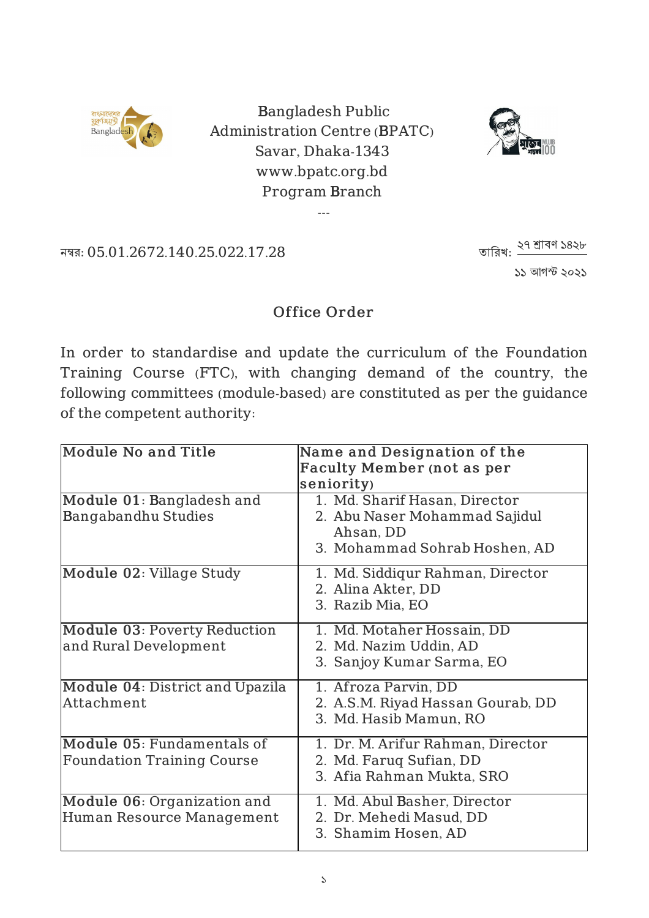

Bangladesh Public Administration Centre (BPATC) Savar, Dhaka-1343 www.bpatc.org.bd Program Branch

---



নম্বর: 05.01.2672.140.25.022.17.28

১১ আগস্ট ২০২১ তারিখ: <u>২৭ শ্রাবণ</u> ১৪২৮

## Office Order

In order to standardise and update the curriculum of the Foundation Training Course (FTC), with changing demand of the country, the following committees (module-based) are constituted as per the guidance of the competent authority:

| <b>Module No and Title</b>                                      | Name and Designation of the<br><b>Faculty Member (not as per</b>                                             |
|-----------------------------------------------------------------|--------------------------------------------------------------------------------------------------------------|
|                                                                 | seniority)                                                                                                   |
| Module 01: Bangladesh and<br>Bangabandhu Studies                | 1. Md. Sharif Hasan, Director<br>2. Abu Naser Mohammad Sajidul<br>Ahsan, DD<br>3. Mohammad Sohrab Hoshen, AD |
| Module 02: Village Study                                        | 1. Md. Siddiqur Rahman, Director<br>2. Alina Akter, DD<br>3. Razib Mia, EO                                   |
| Module 03: Poverty Reduction<br>and Rural Development           | 1. Md. Motaher Hossain, DD<br>2. Md. Nazim Uddin, AD<br>3. Sanjoy Kumar Sarma, EO                            |
| Module 04: District and Upazila<br>Attachment                   | 1. Afroza Parvin, DD<br>2. A.S.M. Riyad Hassan Gourab, DD<br>3. Md. Hasib Mamun, RO                          |
| Module 05: Fundamentals of<br><b>Foundation Training Course</b> | 1. Dr. M. Arifur Rahman, Director<br>2. Md. Farug Sufian, DD<br>3. Afia Rahman Mukta, SRO                    |
| Module 06: Organization and<br>Human Resource Management        | 1. Md. Abul Basher, Director<br>2. Dr. Mehedi Masud, DD<br>3. Shamim Hosen, AD                               |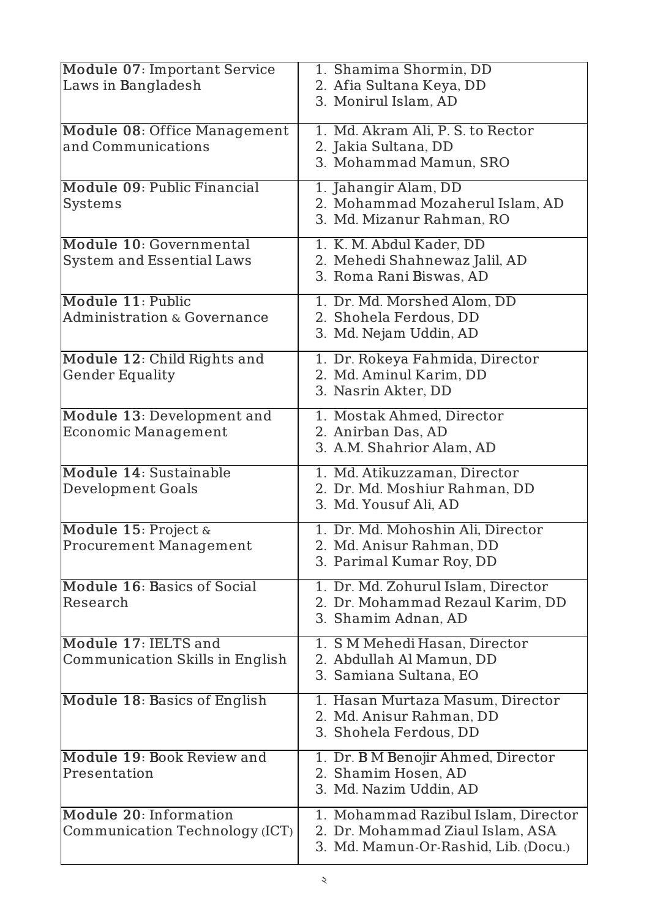| Module 07: Important Service           | 1. Shamima Shormin, DD               |
|----------------------------------------|--------------------------------------|
| Laws in Bangladesh                     | 2. Afia Sultana Keya, DD             |
|                                        | 3. Monirul Islam, AD                 |
| Module 08: Office Management           | 1. Md. Akram Ali, P. S. to Rector    |
| and Communications                     | 2. Jakia Sultana, DD                 |
|                                        | 3. Mohammad Mamun, SRO               |
| Module 09: Public Financial            | 1. Jahangir Alam, DD                 |
| <b>Systems</b>                         | 2. Mohammad Mozaherul Islam, AD      |
|                                        | 3. Md. Mizanur Rahman, RO            |
| Module 10: Governmental                | 1. K. M. Abdul Kader, DD             |
| <b>System and Essential Laws</b>       | 2. Mehedi Shahnewaz Jalil, AD        |
|                                        | 3. Roma Rani Biswas, AD              |
| Module 11: Public                      | 1. Dr. Md. Morshed Alom, DD          |
| <b>Administration &amp; Governance</b> | 2. Shohela Ferdous, DD               |
|                                        | 3. Md. Nejam Uddin, AD               |
| Module 12: Child Rights and            | 1. Dr. Rokeya Fahmida, Director      |
| <b>Gender Equality</b>                 | 2. Md. Aminul Karim, DD              |
|                                        | 3. Nasrin Akter, DD                  |
| Module 13: Development and             | 1. Mostak Ahmed, Director            |
| <b>Economic Management</b>             | 2. Anirban Das, AD                   |
|                                        | 3. A.M. Shahrior Alam, AD            |
| Module 14: Sustainable                 | 1. Md. Atikuzzaman, Director         |
| <b>Development Goals</b>               | 2. Dr. Md. Moshiur Rahman, DD        |
|                                        | 3. Md. Yousuf Ali, AD                |
| Module 15: Project &                   | 1. Dr. Md. Mohoshin Ali, Director    |
| <b>Procurement Management</b>          | 2. Md. Anisur Rahman, DD             |
|                                        | 3. Parimal Kumar Roy, DD             |
| Module 16: Basics of Social            | 1. Dr. Md. Zohurul Islam, Director   |
| Research                               | 2. Dr. Mohammad Rezaul Karim, DD     |
|                                        | 3. Shamim Adnan, AD                  |
| Module 17: IELTS and                   | 1. SM Mehedi Hasan, Director         |
| Communication Skills in English        | 2. Abdullah Al Mamun, DD             |
|                                        | 3. Samiana Sultana, EO               |
| Module 18: Basics of English           | 1. Hasan Murtaza Masum, Director     |
|                                        | 2. Md. Anisur Rahman, DD             |
|                                        | 3. Shohela Ferdous, DD               |
| Module 19: Book Review and             | 1. Dr. B M Benojir Ahmed, Director   |
| Presentation                           | 2. Shamim Hosen, AD                  |
|                                        | 3. Md. Nazim Uddin, AD               |
| Module 20: Information                 | 1. Mohammad Razibul Islam, Director  |
| Communication Technology (ICT)         | 2. Dr. Mohammad Ziaul Islam, ASA     |
|                                        | 3. Md. Mamun-Or-Rashid, Lib. (Docu.) |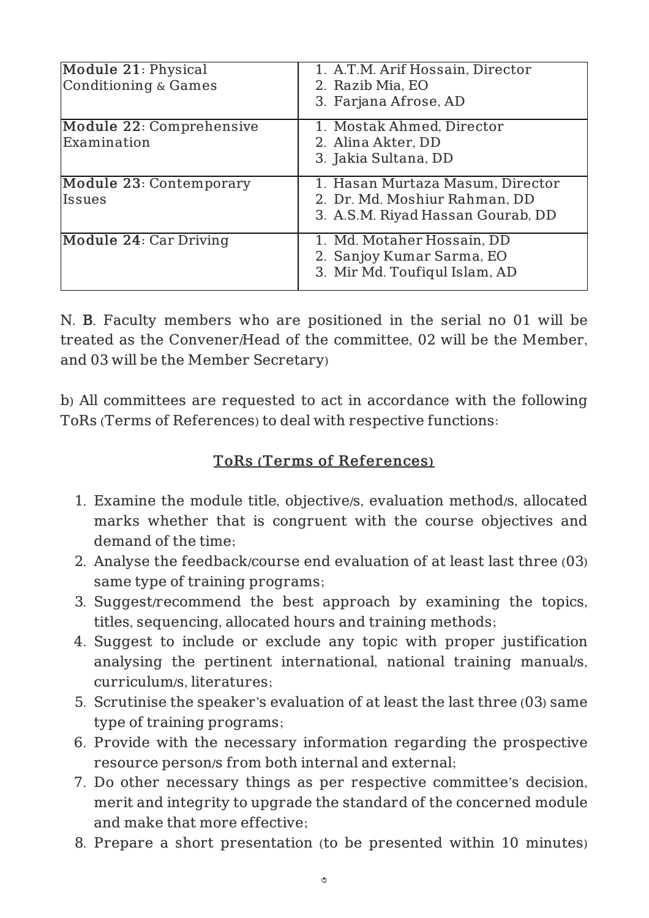| Module 21: Physical<br><b>Conditioning &amp; Games</b> | 1. A.T.M. Arif Hossain, Director<br>2. Razib Mia, EO<br>3. Farjana Afrose, AD                          |
|--------------------------------------------------------|--------------------------------------------------------------------------------------------------------|
| Module 22: Comprehensive<br>Examination                | 1. Mostak Ahmed, Director<br>2. Alina Akter, DD<br>3. Jakia Sultana, DD                                |
| Module 23: Contemporary<br><b>Issues</b>               | 1. Hasan Murtaza Masum, Director<br>2. Dr. Md. Moshiur Rahman, DD<br>3. A.S.M. Riyad Hassan Gourab, DD |
| Module 24: Car Driving                                 | 1. Md. Motaher Hossain, DD<br>2. Sanjoy Kumar Sarma, EO<br>3. Mir Md. Toufiqul Islam, AD               |

N. B. Faculty members who are positioned in the serial no 01 will be treated as the Convener/Head of the committee, 02 will be the Member, and 03 will be the Member Secretary)

b) All committees are requested to act in accordance with the following ToRs (Terms of References) to deal with respective functions:

## ToRs (Terms of References)

- 1. Examine the module title, objective/s, evaluation method/s, allocated marks whether that is congruent with the course objectives and demand of the time;
- 2. Analyse the feedback/course end evaluation of at least last three (03) same type of training programs;
- 3. Suggest/recommend the best approach by examining the topics, titles, sequencing, allocated hours and training methods;
- 4. Suggest to include or exclude any topic with proper justification analysing the pertinent international, national training manual/s, curriculum/s, literatures;
- 5. Scrutinise the speaker's evaluation of at least the last three (03) same type of training programs;
- 6. Provide with the necessary information regarding the prospective resource person/s from both internal and external;
- 7. Do other necessary things as per respective committee's decision, merit and integrity to upgrade the standard of the concerned module and make that more effective;
- 8. Prepare a short presentation (to be presented within 10 minutes)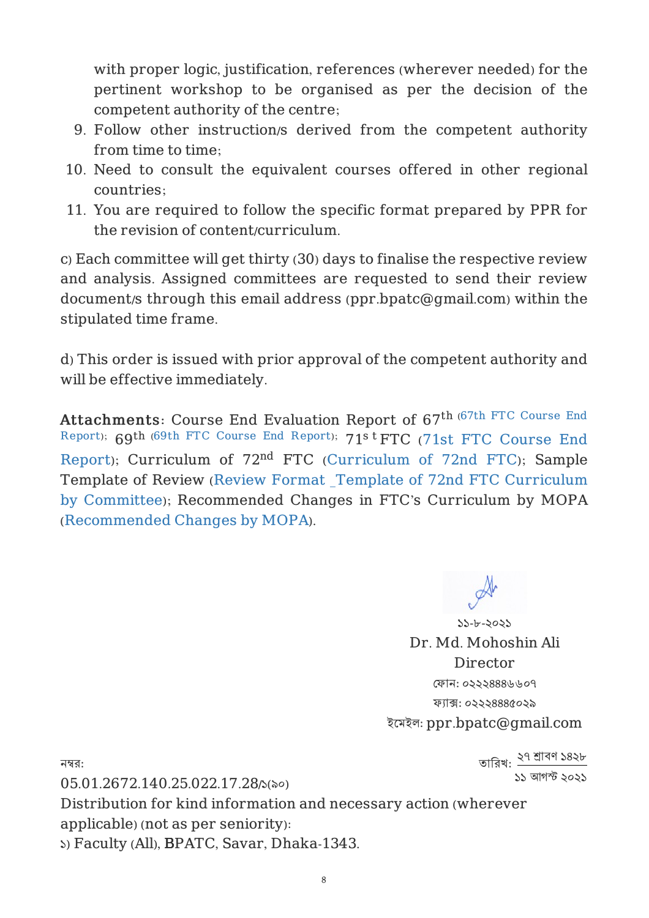with proper logic, justification, references (wherever needed) for the pertinent workshop to be organised as per the decision of the competent authority of the centre;

- 9. Follow other instruction/s derived from the competent authority from time to time;
- 10. Need to consult the equivalent courses offered in other regional countries;
- 11. You are required to follow the specific format prepared by PPR for the revision of content/curriculum.

c) Each committee will get thirty (30) days to finalise the respective review and analysis. Assigned committees are requested to send their review document/s through this email address (ppr.bpatc@gmail.com) within the stipulated time frame.

d) This order is issued with prior approval of the competent authority and will be effective immediately.

Attachments: Course End Evaluation Report of 67<sup>th (67th FTC Course End</sup> Report); 69th (69th FTC Course End Report); 71s t FTC (71st FTC Course End Report); Curriculum of 72<sup>nd</sup> FTC (Curriculum of 72nd FTC); Sample Template of Review (Review Format \_Template of 72nd FTC Curriculum by Committee); Recommended Changes in FTC's Curriculum by MOPA (Recommended Changes by MOPA).

> ১১-৮-২০২১ Dr. Md. Mohoshin Ali **Director** ]ফান: ০২২২৪৪৪৬৬০৭ ফ`াa: ০২২২৪৪৪৫০২৯ ইেমইল: ppr.bpatc@gmail.com

নম্ব $:$ 

তারিখ: <u>২৭ শ্রাবণ ১৪২৮</u> ১১ আগস্ট ২০২১

05.01.2672.140.25.022.17.28/১(৯০) Distribution for kind information and necessary action (wherever applicable) (not as per seniority): ১) Faculty (All), BPATC, Savar, Dhaka-1343.